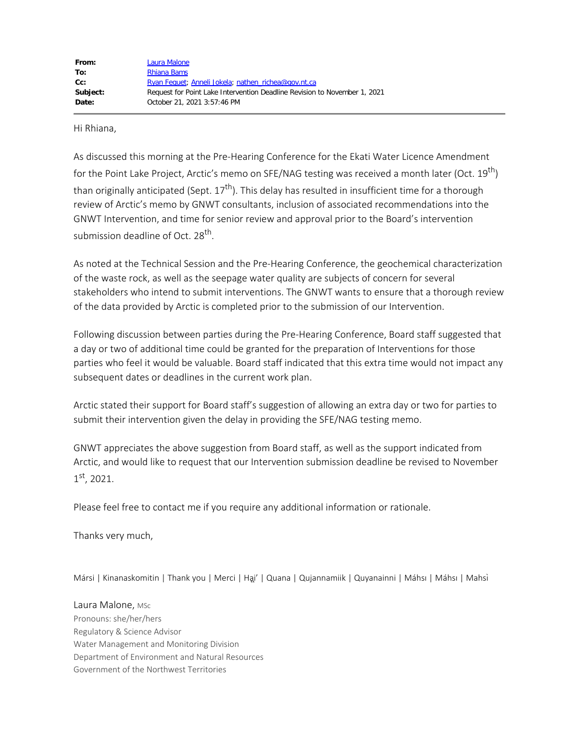| From:    | Laura Malone                                                              |
|----------|---------------------------------------------------------------------------|
| To:      | Rhiana Bams                                                               |
| $Cc$ :   | Ryan Fequet; Anneli Jokela; nathen richea@gov.nt.ca                       |
| Subject: | Request for Point Lake Intervention Deadline Revision to November 1, 2021 |
| Date:    | October 21, 2021 3:57:46 PM                                               |

Hi Rhiana,

As discussed this morning at the Pre-Hearing Conference for the Ekati Water Licence Amendment for the Point Lake Project, Arctic's memo on SFE/NAG testing was received a month later (Oct.  $19^{th}$ ) than originally anticipated (Sept.  $17<sup>th</sup>$ ). This delay has resulted in insufficient time for a thorough review of Arctic's memo by GNWT consultants, inclusion of associated recommendations into the GNWT Intervention, and time for senior review and approval prior to the Board's intervention submission deadline of Oct. 28<sup>th</sup>.

As noted at the Technical Session and the Pre-Hearing Conference, the geochemical characterization of the waste rock, as well as the seepage water quality are subjects of concern for several stakeholders who intend to submit interventions. The GNWT wants to ensure that a thorough review of the data provided by Arctic is completed prior to the submission of our Intervention.

Following discussion between parties during the Pre-Hearing Conference, Board staff suggested that a day or two of additional time could be granted for the preparation of Interventions for those parties who feel it would be valuable. Board staff indicated that this extra time would not impact any subsequent dates or deadlines in the current work plan.

Arctic stated their support for Board staff's suggestion of allowing an extra day or two for parties to submit their intervention given the delay in providing the SFE/NAG testing memo.

GNWT appreciates the above suggestion from Board staff, as well as the support indicated from Arctic, and would like to request that our Intervention submission deadline be revised to November  $1<sup>st</sup>$ , 2021.

Please feel free to contact me if you require any additional information or rationale.

Thanks very much,

Mársi | Kinanaskomitin | Thank you | Merci | Hai' | Quana | Qujannamiik | Quyanainni | Máhsı | Máhsı | Mahsì

Laura Malone, MSc Pronouns: she/her/hers Regulatory & Science Advisor Water Management and Monitoring Division Department of Environment and Natural Resources Government of the Northwest Territories